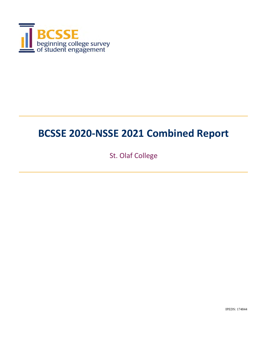

St. Olaf College

IPEDS: 174844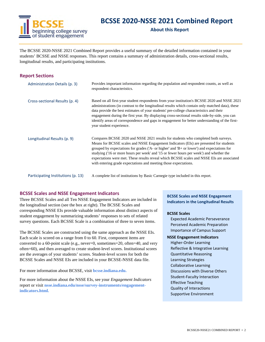

**About this Report**

The BCSSE 2020-NSSE 2021 Combined Report provides a useful summary of the detailed information contained in your students' BCSSE and NSSE responses. This report contains a summary of administration details, cross-sectional results, longitudinal results, and participating institutions.

#### **Report Sections**

| Administration Details (p. 3)      | Provides important information regarding the population and respondent counts, as well as<br>respondent characteristics.                                                                                                                                                                                                                                                                                                                                                                                                                     |
|------------------------------------|----------------------------------------------------------------------------------------------------------------------------------------------------------------------------------------------------------------------------------------------------------------------------------------------------------------------------------------------------------------------------------------------------------------------------------------------------------------------------------------------------------------------------------------------|
| Cross-sectional Results (p. 4)     | Based on all first-year student respondents from your institution's BCSSE 2020 and NSSE 2021<br>administrations (in contrast to the longitudinal results which contain only matched data), these<br>data provide the best estimates of your students' pre-college characteristics and their<br>engagement during the first year. By displaying cross-sectional results side-by-side, you can<br>identify areas of correspondence and gaps in engagement for better understanding of the first-<br>year student experience.                   |
| Longitudinal Results (p. 9)        | Compares BCSSE 2020 and NSSE 2021 results for students who completed both surveys.<br>Means for BCSSE scales and NSSE Engagement Indicators (EIs) are presented for students<br>grouped by expectations for grades ( $A$ - or higher' and $B$ + or lower') and expectations for<br>studying ('16 or more hours per week' and '15 or fewer hours per week') and whether the<br>expectations were met. These results reveal which BCSSE scales and NSSE EIs are associated<br>with entering grade expectations and meeting those expectations. |
| Participating Institutions (p. 13) | A complete list of institutions by Basic Carnegie type included in this report.                                                                                                                                                                                                                                                                                                                                                                                                                                                              |

#### **BCSSE Scales and NSSE Engagement Indicators**

Three BCSSE Scales and all Ten NSSE Engagement Indicators are included in the longitudinal section (see the box at right). The BCSSE Scales and corresponding NSSE EIs provide valuable information about distinct aspects of student engagement by summarizing students' responses to sets of related survey questions. Each BCSSE Scale is a combination of three to seven items.

The BCSSE Scales are constructed using the same approach as the NSSE EIs. Each scale is scored on a range from 0 to 60. First, component items are converted to a 60-point scale (e.g., never=0, sometimes=20, often=40, and very often=60), and then averaged to create student-level scores. Institutional scores are the averages of your students' scores. Student-level scores for both the BCSSE Scales and NSSE EIs are included in your BCSSE-NSSE data file.

For more information about BCSSE, visit **bcsse.indiana.edu.**

For more information about the NSSE EIs, see your *Engagement Indicators*  report or visit **nsse.indiana.edu/nsse/survey-instruments/engagementindicators.html.**

**BCSSE Scales and NSSE Engagement Indicators in the Longitudinal Results**

#### **BCSSE Scales**

Expected Academic Perseverance Perceived Academic Preparation Importance of Campus Support

**NSSE Engagement Indicators** Higher‐Order Learning Reflective & Integrative Learning Quantitative Reasoning Learning Strategies Collaborative Learning Discussions with Diverse Others Student‐Faculty Interaction Effective Teaching Quality of Interactions

Supportive Environment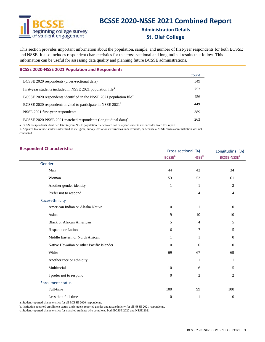# beginning college survey<br>
s of student engagement

## **BCSSE 2020‐NSSE 2021 Combined Report**

#### **Administration Details St. Olaf College**

This section provides important information about the population, sample, and number of first-year respondents for both BCSSE and NSSE. It also includes respondent characteristics for the cross-sectional and longitudinal results that follow. This information can be useful for assessing data quality and planning future BCSSE administrations.

| <b>BCSSE 2020-NSSE 2021 Population and Respondents</b> |  |  |
|--------------------------------------------------------|--|--|
|--------------------------------------------------------|--|--|

|                                                                                 | Count |
|---------------------------------------------------------------------------------|-------|
| BCSSE 2020 respondents (cross-sectional data)                                   | 549   |
| First-year students included in NSSE 2021 population file <sup>a</sup>          | 752   |
| BCSSE 2020 respondents identified in the NSSE 2021 population file <sup>a</sup> | 456   |
| BCSSE 2020 respondents invited to participate in NSSE 2021 <sup>b</sup>         | 449   |
| NSSE 2021 first-year respondents                                                | 389   |
| BCSSE 2020-NSSE 2021 matched respondents (longitudinal data) <sup>a</sup>       | 263   |

a. BCSSE respondents identified later in your NSSE population file who are not first-year students are excluded from this report.

b. Adjusted to exclude students identified as ineligible, survey invitations returned as undeliverable, or because a NSSE census administration was not conducted.

#### **Respondent Characteristics** Longitudinal (%) Longitudinal (%)

| Respondent Unaracteristics                | Cross-sectional (%)      |               | Longitudinal (%)        |  |
|-------------------------------------------|--------------------------|---------------|-------------------------|--|
|                                           | <b>BCSSE<sup>a</sup></b> | <b>NSSE</b> b | BCSSE-NSSE <sup>c</sup> |  |
| Gender                                    |                          |               |                         |  |
| Man                                       | 44                       | 42            | 34                      |  |
| Woman                                     | 53                       | 53            | 61                      |  |
| Another gender identity                   | 1                        | 1             | $\overline{2}$          |  |
| Prefer not to respond                     | 1                        | 4             | 4                       |  |
| Race/ethnicity                            |                          |               |                         |  |
| American Indian or Alaska Native          | $\theta$                 | 1             | $\boldsymbol{0}$        |  |
| Asian                                     | 9                        | 10            | 10                      |  |
| <b>Black or African American</b>          | 5                        | 4             | 5                       |  |
| Hispanic or Latino                        | 6                        | 7             | 5                       |  |
| Middle Eastern or North African           |                          |               | 0                       |  |
| Native Hawaiian or other Pacific Islander | $\theta$                 | $\mathbf{0}$  | 0                       |  |
| White                                     | 69                       | 67            | 69                      |  |
| Another race or ethnicity                 | 1                        | 1             | 1                       |  |
| Multiracial                               | 10                       | 6             | 5                       |  |
| I prefer not to respond                   | $\boldsymbol{0}$         | 2             | $\overline{c}$          |  |
| <b>Enrollment status</b>                  |                          |               |                         |  |
| Full-time                                 | 100                      | 99            | 100                     |  |
| Less than full-time                       | $\mathbf{0}$             | 1             | $\boldsymbol{0}$        |  |

a. Student-reported characteristics for all BCSSE 2020 respondents.

b. Institution-reported enrollment status, and student-reported gender and race/ethnicity for all NSSE 2021 respondents.

c. Student-reported characteristics for matched students who completed both BCSSE 2020 and NSSE 2021.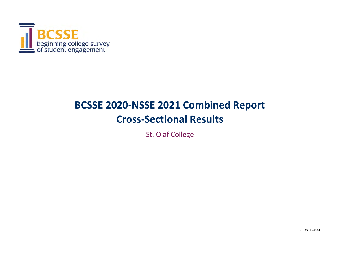

# **BCSSE 2020‐NSSE 2021 Combined Report Cross‐Sectional Results**

St. Olaf College

IPEDS: 174844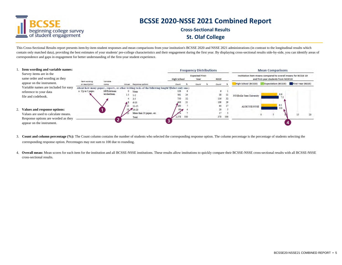

**Cross‐Sectional ResultsSt. Olaf College**

This Cross-Sectional Results report presents item-by-item student responses and mean comparisons from your institution's BCSSE 2020 and NSSE 2021 administrations (in contrast to the longitudinal results which contain only matched data), providing the best estimates of your students' pre-college characteristics and their engagement during the first year. By displaying cross-sectional results side-by-side, you can identify areas correspondence and gaps in engagement for better understanding of the first-year student experience.

| Item wording and variable names:                                 |                                |                   |     |                                                                                                   |                    |            | <b>Frequency Distributions</b> |             |    |                                                               | <b>Mean Comparisons</b>             |     |                   |    |
|------------------------------------------------------------------|--------------------------------|-------------------|-----|---------------------------------------------------------------------------------------------------|--------------------|------------|--------------------------------|-------------|----|---------------------------------------------------------------|-------------------------------------|-----|-------------------|----|
| Survey items are in the<br>same order and wording as they        |                                |                   |     |                                                                                                   | <b>High School</b> |            | <b>Expected First-</b><br>Year | <b>NSSE</b> |    | Institution item means compared to overall means for BCSSE 19 | and first-year students from NSSE20 |     |                   |    |
| appear on the instrument.                                        | itam wording<br>or description | Variable<br>name. |     | Volues Response options                                                                           | Count              |            | Count                          | Count       |    | <b>High School (BCSSE)</b>                                    | <b>Expectation (BCSSE)</b>          |     | First Year (NSSE) |    |
| Variable names are included for easy                             |                                |                   |     | About how many papers, reports, or other writing tasks of the following length?(Select only one.) |                    |            |                                |             |    |                                                               |                                     |     |                   |    |
| reference to your data                                           | a. Up to 5 pages               | hWRshrmm          | o   | None                                                                                              | 138                |            |                                |             |    |                                                               |                                     |     |                   |    |
| file and codebook.                                               |                                | wrshortnum        | 1.5 | $1-2$                                                                                             | 561                | $^{24}$    |                                | 38          |    | NSSEville State University                                    |                                     | 6.6 |                   |    |
|                                                                  |                                |                   |     | 4 3.5                                                                                             | 750                | 32         |                                | 116         | 32 |                                                               |                                     |     |                   |    |
|                                                                  |                                |                   |     | $6 - 10$                                                                                          |                    | 21         |                                | 109         | 29 |                                                               |                                     |     |                   |    |
|                                                                  |                                |                   | 13  | II B                                                                                              | $\Lambda$ 60       |            |                                | 64          | 17 | <b>All BCSSE-NSSE</b>                                         |                                     | 65  |                   |    |
| 2. Values and response options:                                  |                                |                   |     | $18 \times 16 - 20$                                                                               | 99-                |            |                                | 20          |    |                                                               |                                     | 6.6 |                   |    |
| Values are used to calculate means.                              |                                |                   |     | More than 20 papers, etc.                                                                         |                    |            |                                | 17          |    |                                                               |                                     |     |                   | 20 |
|                                                                  |                                |                   |     | Total                                                                                             | 3,378              | <b>100</b> |                                | 370 100     |    |                                                               |                                     |     |                   |    |
| Response options are worded as they<br>appear on the instrument. |                                |                   |     |                                                                                                   |                    |            |                                |             |    |                                                               |                                     |     |                   |    |

3. Count and column percentage (%): The Count column contains the number of students who selected the corresponding response option. The column percentage is the percentage of students selecting the corresponding response option. Percentages may not sum to 100 due to rounding.

4. **Overall mean:** Mean scores for each item for the institution and all BCSSE-NSSE institutions. These results allow institutions to quickly compare their BCSSE-NSSE cross-sectional results with all BCSSE-NSSE cross-sectional results.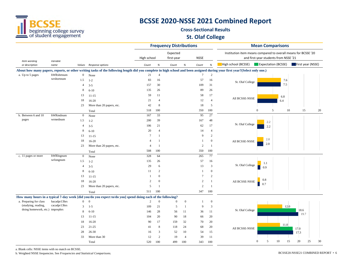

#### **Cross‐Sectional ResultsSt. Olaf College**

|                                                        |                  |                  |                                                                                                                                                                             |                |                | <b>Frequency Distributions</b> |                  |                 |                              |                                                                |               | <b>Mean Comparisons</b>               |                   |          |
|--------------------------------------------------------|------------------|------------------|-----------------------------------------------------------------------------------------------------------------------------------------------------------------------------|----------------|----------------|--------------------------------|------------------|-----------------|------------------------------|----------------------------------------------------------------|---------------|---------------------------------------|-------------------|----------|
|                                                        |                  |                  |                                                                                                                                                                             | High school    |                | Expected<br>first-year         |                  | <b>NSSE</b>     |                              | Institution item means compared to overall means for BCSSE '20 |               | and first-year students from NSSE '21 |                   |          |
| Item wording<br>or description                         | Variable<br>name |                  | Values Response options                                                                                                                                                     | Count          | $\%$           | Count                          | $\%$             | Count           | $% \mathcal{A}_{\mathrm{d}}$ | High school (BCSSE) Expectation (BCSSE)                        |               |                                       | First year (NSSE) |          |
|                                                        |                  |                  | About how many papers, reports, or other writing tasks of the following length did you complete in high school and been assigned during your first year? (Select only one.) |                |                |                                |                  |                 |                              |                                                                |               |                                       |                   |          |
| a. Up to 5 pages                                       | hWRshrtnum       | $\boldsymbol{0}$ | None                                                                                                                                                                        | 21             | $\overline{4}$ |                                |                  | $\tau$          | $\overline{c}$               |                                                                |               |                                       |                   |          |
|                                                        | wrshortnum       | 1.5              | $1 - 2$                                                                                                                                                                     | 83             | 16             |                                |                  | 57              | 16                           | St. Olaf College                                               |               | 7.6                                   |                   |          |
|                                                        |                  | 4                | $3 - 5$                                                                                                                                                                     | 157            | 30             |                                |                  | 109             | 31                           |                                                                |               | 7.5                                   |                   |          |
|                                                        |                  | 8                | $6 - 10$                                                                                                                                                                    | 135            | 26             |                                |                  | 89              | 26                           |                                                                |               |                                       |                   |          |
|                                                        |                  | 13               | $11 - 15$                                                                                                                                                                   | 59             | 11             |                                |                  | 58              | 17                           |                                                                |               | 6.8                                   |                   |          |
|                                                        |                  | 18               | $16 - 20$                                                                                                                                                                   | 21             | $\overline{4}$ |                                |                  | 12              | $\overline{4}$               | All BCSSE-NSSE                                                 |               | 6.4                                   |                   |          |
|                                                        |                  | 23               | More than 20 papers, etc.                                                                                                                                                   | 42             | 8              |                                |                  | 18              | 5                            |                                                                |               |                                       |                   |          |
|                                                        |                  |                  | Total                                                                                                                                                                       | 518            | 100            |                                |                  | 350             | 100                          |                                                                | $\Omega$      | 5<br>10                               | 15                | 20       |
| b. Between 6 and 10                                    | hWRmdnum         | $\overline{0}$   | None                                                                                                                                                                        | 167            | 33             |                                |                  | 95              | 27                           |                                                                |               |                                       |                   |          |
| pages                                                  | wrmednum         | 1.5              | $1 - 2$                                                                                                                                                                     | 200            | 39             |                                |                  | 167             | 48                           |                                                                | 2.2           |                                       |                   |          |
|                                                        |                  | 4                | $3 - 5$                                                                                                                                                                     | 106            | 21             |                                |                  | 62              | 17                           | St. Olaf College                                               | 2.2           |                                       |                   |          |
|                                                        |                  | 8                | $6 - 10$                                                                                                                                                                    | 20             | $\overline{4}$ |                                |                  | 14              | $\overline{4}$               | 2.0<br>All BCSSE-NSSE<br>2.0                                   |               |                                       |                   |          |
|                                                        |                  | 13               | $11 - 15$                                                                                                                                                                   | $\overline{7}$ |                |                                |                  | 9               | 2                            |                                                                |               |                                       |                   |          |
|                                                        |                  | 18               | $16 - 20$                                                                                                                                                                   | $\overline{4}$ | -1             |                                |                  | -1              | $\mathbf{0}$                 |                                                                |               |                                       |                   |          |
|                                                        |                  | 23               | More than 20 papers, etc.                                                                                                                                                   | $\overline{4}$ | $\mathbf{1}$   |                                |                  | 2               | -1                           |                                                                |               |                                       |                   |          |
|                                                        |                  |                  | Total                                                                                                                                                                       | 508            | 100            |                                |                  | 350             | 100                          |                                                                |               |                                       |                   |          |
| c. 11 pages or more                                    | hWRlngnum        | $\boldsymbol{0}$ | None                                                                                                                                                                        | 328            | 64             |                                |                  | 265             | 77                           |                                                                |               |                                       |                   |          |
|                                                        | wrlongnum        | 1.5              | $1 - 2$                                                                                                                                                                     | 135            | 26             |                                |                  | 57              | 16                           |                                                                | 1.1           |                                       |                   |          |
|                                                        |                  | 4                | $3 - 5$                                                                                                                                                                     | 29             | 6              |                                |                  | 13              | 3                            | St. Olaf College                                               | 0.9           |                                       |                   |          |
|                                                        |                  | 8                | $6 - 10$                                                                                                                                                                    | 11             | 2              |                                |                  | $\overline{1}$  | $\mathbf{0}$                 |                                                                |               |                                       |                   |          |
|                                                        |                  | 13               | $11 - 15$                                                                                                                                                                   | -1             | $\Omega$       |                                |                  | $7\phantom{.0}$ | $\overline{c}$               |                                                                |               |                                       |                   |          |
|                                                        |                  | 18               | $16 - 20$                                                                                                                                                                   | 2              | $\Omega$       |                                |                  | 2               | $\mathbf{1}$                 | All BCSSE-NSSE                                                 | 0.8<br>0.7    |                                       |                   |          |
|                                                        |                  | 23               | More than 20 papers, etc.                                                                                                                                                   | 5              | $\mathbf{1}$   |                                |                  | 2               | $\overline{1}$               |                                                                |               |                                       |                   |          |
|                                                        |                  |                  | Total                                                                                                                                                                       | 511            | 100            |                                |                  | 347             | 100                          |                                                                |               |                                       |                   |          |
|                                                        |                  |                  | How many hours in a typical 7-day week [did you/do you expect to/do you] spend doing each of the following?                                                                 |                |                |                                |                  |                 |                              |                                                                |               |                                       |                   |          |
| a. Preparing for class                                 | hacadpr13hrs     | $\overline{0}$   | $\overline{0}$                                                                                                                                                              | 2              | $\overline{0}$ | $\mathbf{0}$                   | $\boldsymbol{0}$ | -1              | $\mathbf{0}$                 |                                                                |               |                                       |                   |          |
| (studying, reading,<br>doing homework, etc.) tmprephrs | cacadpr13hrs     | 3                | $1 - 5$                                                                                                                                                                     | 109            | 21             | 5                              | -1               | 9               | 3                            |                                                                |               | 12.0                                  |                   |          |
|                                                        |                  | 8                | $6 - 10$                                                                                                                                                                    | 146            | 28             | 56                             | 11               | 36              | 11                           | St. Olaf College                                               |               |                                       | 18.6<br>19.7      |          |
|                                                        |                  | 13               | $11 - 15$                                                                                                                                                                   | 104            | 20             | 90                             | 18               | 66              | 20                           |                                                                |               |                                       |                   |          |
|                                                        |                  | 18               | $16-20$                                                                                                                                                                     | 90             | 17             | 159                            | 32               | 70              | 20                           |                                                                |               | 11.0                                  |                   |          |
|                                                        |                  | 23               | $21 - 25$                                                                                                                                                                   | 41             | 8              | 118                            | 24               | 68              | 20                           | All BCSSE-NSSE                                                 |               |                                       | 17.0              |          |
|                                                        |                  | 28               | $26 - 30$                                                                                                                                                                   | 16             | 3              | 52                             | 10               | 54              | 15                           |                                                                |               |                                       | 17.3              |          |
|                                                        |                  | 33               | More than 30                                                                                                                                                                | 12             | $\overline{c}$ | 19                             | $\overline{4}$   | 39              | -11                          |                                                                |               |                                       |                   |          |
|                                                        |                  |                  | Total                                                                                                                                                                       | 520            | 100            | 499                            | 100              | 343             | 100                          |                                                                | 5<br>$\theta$ | 10<br>15                              | 20                | 25<br>30 |

a. Blank cells: NSSE items with no match on BCSSE.

b. Weighted NSSE frequencies. See *Frequencies and Statistical Comparisons.* BCSSE20-NSSE21 COMBINED REPORT • 6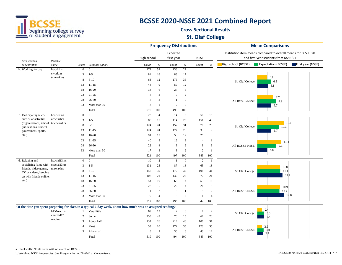

#### **Cross‐Sectional ResultsSt. Olaf College**

|                                                 |                  |                |                                                                                                            | <b>Frequency Distributions</b> |                |                        |                  |                |                         | <b>Mean Comparisons</b>                                                                                 |  |  |  |
|-------------------------------------------------|------------------|----------------|------------------------------------------------------------------------------------------------------------|--------------------------------|----------------|------------------------|------------------|----------------|-------------------------|---------------------------------------------------------------------------------------------------------|--|--|--|
|                                                 |                  |                |                                                                                                            | High school                    |                | Expected<br>first-year |                  | <b>NSSE</b>    |                         | Institution item means compared to overall means for BCSSE '20<br>and first-year students from NSSE '21 |  |  |  |
| Item wording<br>or description                  | Variable<br>name | Values         | Response options                                                                                           | Count                          | $\%$           | Count                  | $\%$             | Count          | $\%$                    | High school (BCSSE)<br><b>Expectation (BCSSE)</b><br>First year (NSSE)                                  |  |  |  |
| b. Working for pay                              | hworkhrs         | $\overline{0}$ | $\overline{0}$                                                                                             | 272                            | 52             | 136                    | $27\,$           |                |                         |                                                                                                         |  |  |  |
|                                                 | cworkhrs         | 3              | $1 - 5$                                                                                                    | 84                             | 16             | 86                     | 17               |                |                         |                                                                                                         |  |  |  |
|                                                 | tmworkhrs        | 8              | $6 - 10$                                                                                                   | 63                             | 12             | 176                    | 35               |                |                         | 4.8<br>St. Olaf College<br>6.5                                                                          |  |  |  |
|                                                 |                  | 13             | $11 - 15$                                                                                                  | 48                             | 9              | 59                     | 12               |                |                         | 5.1                                                                                                     |  |  |  |
|                                                 |                  | 18             | $16 - 20$                                                                                                  | 33                             | 6              | 27                     | 5                |                |                         |                                                                                                         |  |  |  |
|                                                 |                  | 23             | $21 - 25$                                                                                                  | 8                              | $\overline{c}$ | 9                      | $\mathfrak{2}$   |                |                         | 7.7                                                                                                     |  |  |  |
|                                                 |                  | 28             | $26 - 30$                                                                                                  | 8                              | $\mathbf{2}$   | $\mathbf{1}$           | $\boldsymbol{0}$ |                |                         | All BCSSE-NSSE<br>8.9                                                                                   |  |  |  |
|                                                 |                  | 33             | More than 30                                                                                               | 3                              | $\overline{1}$ | 2                      | $\mathbf{0}$     |                |                         | 6.7                                                                                                     |  |  |  |
|                                                 |                  |                | Total                                                                                                      | 519                            | 100            | 496                    | 100              |                |                         |                                                                                                         |  |  |  |
| c. Participating in co-                         | hcocurrhrs       | $\overline{0}$ | $\overline{0}$                                                                                             | 23                             | $\overline{4}$ | 14                     | 3                | 50             | 15                      |                                                                                                         |  |  |  |
| curricular activities                           | ccocurrhrs       | 3              | $1 - 5$                                                                                                    | 80                             | 15             | 114                    | 23               | 151            | 43                      |                                                                                                         |  |  |  |
| (organizations, school<br>publications, student | tmcocurrhrs      | 8              | $6 - 10$                                                                                                   | 124                            | 24             | 152                    | 31               | 70             | 20                      | 12.6<br>St. Olaf College<br>10.3                                                                        |  |  |  |
| government, sports,                             |                  | 13             | $11 - 15$                                                                                                  | 124                            | 24             | 127                    | 26               | 33             | 9                       | 6.7                                                                                                     |  |  |  |
| etc.)                                           |                  | 18             | $16 - 20$                                                                                                  | 91                             | 17             | 58                     | 12               | 25             | 8                       |                                                                                                         |  |  |  |
|                                                 |                  | 23             | $21 - 25$                                                                                                  | 40                             | 8              | 16                     | 3                | $\overline{4}$ | -1                      | 11.4                                                                                                    |  |  |  |
|                                                 |                  | 28             | $26 - 30$                                                                                                  | 22                             | $\overline{4}$ | 8                      | 2                | $\,8\,$        | $\overline{\mathbf{3}}$ | All BCSSE-NSSE<br>9.1                                                                                   |  |  |  |
|                                                 |                  | 33             | More than 30                                                                                               | 17                             | 3              | 8                      | 2                | 2              | $\overline{1}$          | 4.8                                                                                                     |  |  |  |
|                                                 |                  |                | Total                                                                                                      | 521                            | 100            | 497                    | 100              | 343            | 100                     |                                                                                                         |  |  |  |
| d. Relaxing and                                 | hsocial13hrs     | $\overline{0}$ | $\overline{0}$                                                                                             | 10                             | $\overline{2}$ | $\overline{1}$         | $\overline{0}$   | 2              | -1                      |                                                                                                         |  |  |  |
| socializing (time with csocial13hrs)            |                  | 3              | $1 - 5$                                                                                                    | 131                            | 25             | 87                     | 18               | 65             | 18                      | 10.8                                                                                                    |  |  |  |
| friends, video games,<br>TV or videos, keeping  | tmrelaxhrs       | 8              | $6 - 10$                                                                                                   | 156                            | 30             | 172                    | 35               | 108            | 31                      | St. Olaf College<br>11.1                                                                                |  |  |  |
| up with friends online,                         |                  | 13             | $11 - 15$                                                                                                  | 108                            | 21             | 132                    | 27               | 72             | 21                      | 12.1                                                                                                    |  |  |  |
| etc.)                                           |                  | 18             | $16 - 20$                                                                                                  | 54                             | 10             | 68                     | 14               | 53             | 16                      |                                                                                                         |  |  |  |
|                                                 |                  | 23             | $21 - 25$                                                                                                  | 28                             | 5              | 22                     | $\overline{4}$   | 26             | 8                       | 10.9                                                                                                    |  |  |  |
|                                                 |                  | 28             | $26 - 30$                                                                                                  | 11                             | $\overline{c}$ | 5                      | -1               | 5              | 2                       | All BCSSE-NSSE<br>10.7                                                                                  |  |  |  |
|                                                 |                  | 33             | More than 30                                                                                               | 19                             | $\overline{4}$ | 8                      | $\overline{c}$   | 11             | $\overline{4}$          | 12.8                                                                                                    |  |  |  |
|                                                 |                  |                | Total                                                                                                      | 517                            | 100            | 495                    | 100              | 342            | 100                     |                                                                                                         |  |  |  |
|                                                 |                  |                | Of the time you spent preparing for class in a typical 7-day week, about how much was on assigned reading? |                                |                |                        |                  |                |                         |                                                                                                         |  |  |  |
|                                                 | hTMread14        | -1             | Very little                                                                                                | 69                             | 13             | 2                      | $\boldsymbol{0}$ | $\tau$         | $\overline{c}$          | 2.4<br>St. Olaf College<br>3.3                                                                          |  |  |  |
|                                                 | ctmread17        | 2              | Some                                                                                                       | 255                            | 49             | 76                     | 15               | 67             | 20                      | 3.4                                                                                                     |  |  |  |
|                                                 | reading          | 3              | About half                                                                                                 | 134                            | 26             | 214                    | 43               | 106            | 31                      |                                                                                                         |  |  |  |
|                                                 |                  | 4              | Most                                                                                                       | 53                             | 10             | 172                    | 35               | 120            | 35                      | 2.2                                                                                                     |  |  |  |
|                                                 |                  | 5              | Almost all                                                                                                 | 8                              | $\overline{c}$ | 30                     | 6                | 43             | 12                      | 3.0<br>All BCSSE-NSSE<br>2.7                                                                            |  |  |  |
|                                                 |                  |                | Total                                                                                                      | 519                            | 100            | 494                    | 100              | 343            | 100                     |                                                                                                         |  |  |  |

a. Blank cells: NSSE items with no match on BCSSE.

b. Weighted NSSE frequencies. See *Frequencies and Statistical Comparisons.* BCSSE20-NSSE21 COMBINED REPORT • 7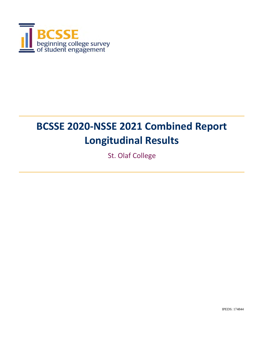

# **BCSSE 2020‐NSSE 2021 Combined Report Longitudinal Results**

St. Olaf College

IPEDS: 174844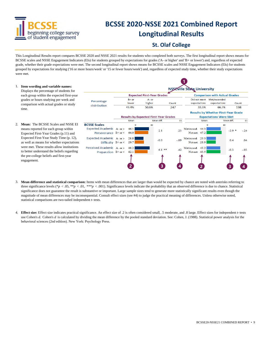

# **BCSSE 2020‐NSSE 2021 Combined Report Longitudinal Results**

#### **St. Olaf College**

This Longitudinal Results report compares BCSSE 2020 and NSSE 2021 results for students who completed both surveys. The first longitudinal report shows means for BCSSE scales and NSSE Engagement Indicators (EIs) for students grouped by expectations for grades ('A- or higher' and 'B+ or lower') and, regardless of expected grade, whether their grade expectations were met. The second longitudinal report shows means for BCSSE scales and NSSE Engagement Indicators (EIs) for students grouped by expectations for studying ('16 or more hours/week' or '15 or fewer hours/week') and, regardless of expected study time, whether their study expectations were met.



- 3. **Mean difference and statistical comparison:** Items with mean differences that are larger than would be expected by chance are noted with asterisks referring to three significance levels (\**p* < .05, \*\**p* < .01, \*\*\**p* < .001). Significance levels indicate the probability that an observed difference is due to chance. Statistical significance does not guarantee the result is substantive or important. Large sample sizes tend to generate more statistically significant results even though the magnitude of mean differences may be inconsequential. Consult effect sizes (see #4) to judge the practical meaning of differences. Unless otherwise noted, statistical comparisons are two-tailed independent *t-* tests.
- 4. **Effect size:** Effect size indicates practical significance. An effect size of .2 is often considered small, .5 moderate, and .8 large. Effect sizes for independent *t-* tests use Cohen's *d*. Cohen's *d* is calculated by dividing the mean difference by the pooled standard deviation. See: Cohen, J. (1988). Statistical power analysis for the behavioral sciences (2nd edition). New York: Psychology Press.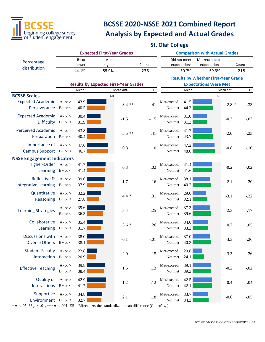

# **BCSSE 2020‐NSSE 2021 Combined Report Analysis by Expected and Actual Grades**

#### **St. Olaf College**

|                                   |             |                | <b>Expected First-Year Grades</b> |                                              |        |              |          | <b>Comparison with Actual Grades</b>       |            |        |
|-----------------------------------|-------------|----------------|-----------------------------------|----------------------------------------------|--------|--------------|----------|--------------------------------------------|------------|--------|
| Percentage                        |             | $B+$ or        | A- or                             |                                              |        | Did not meet |          | Met/exceeded                               |            |        |
| distribution                      |             | lower          | higher                            |                                              | Count  | expectations |          | expectations                               |            | Count  |
|                                   |             | 44.1%          | 55.9%                             |                                              | 236    |              | 30.7%    | 69.3%                                      |            | 218    |
|                                   |             |                |                                   |                                              |        |              |          | <b>Results by Whether First-Year Grade</b> |            |        |
|                                   |             |                |                                   | <b>Results by Expected First-Year Grades</b> |        |              |          | <b>Expectations Were Met</b>               |            |        |
|                                   |             | Mean           |                                   | Mean diff.                                   | ES     |              | Mean     |                                            | Mean diff. | ES     |
| <b>BCSSE Scales</b>               |             | $\overline{0}$ | 60                                |                                              |        |              | $\Omega$ | 60                                         |            |        |
| <b>Expected Academic</b>          | A- or $>$   | 43.9           |                                   | $3.4$ **                                     | .41    | Met/exceed.  | 41.5     |                                            | $-2.8*$    | $-.33$ |
| Perseverance $B+$ or $<$          |             | 40.5           |                                   |                                              |        | Not met      | 44.3     |                                            |            |        |
| <b>Expected Academic</b>          | A- or $>$   | 30.4           |                                   |                                              |        | Met/exceed.  | 31.0     |                                            |            |        |
| Difficulty $B+$ or <              |             | 31.9           |                                   | $-1.5$                                       | $-.15$ | Not met      | 31.3     |                                            | $-0.3$     | $-.03$ |
| <b>Perceived Academic</b>         | A- or $>$   | 43.8           |                                   |                                              |        | Met/exceed.  | 41.7     |                                            |            |        |
| Preparation $B+or <$              |             | 40.4           |                                   | $3.5**$                                      | .41    | Not met      | 43.7     |                                            | $-2.0$     | $-.23$ |
| Importance of $A-$ or $>$         |             | 47.6           |                                   |                                              |        | Met/exceed.  | 47.2     |                                            |            |        |
| Campus Support B+ or <            |             | 46.7           |                                   | 0.8                                          | .10    | Not met      | 48.0     |                                            | $-0.8$     | $-.10$ |
| <b>NSSE Engagement Indicators</b> |             |                |                                   |                                              |        |              |          |                                            |            |        |
| Higher-Order A-or>                |             | 41.7           |                                   |                                              |        | Met/exceed.  | 41.4     |                                            |            |        |
| Learning $B+or <$                 |             | 41.4           |                                   | 0.3                                          | .02    | Not met      | 41.6     |                                            | $-0.2$     | $-.02$ |
|                                   |             |                |                                   |                                              |        |              |          |                                            |            |        |
| Reflective &                      | A- or $>$   | 39.6           |                                   | 1.7                                          | .16    | Met/exceed.  | 38.1     |                                            | $-2.1$     | $-.20$ |
| Integrative Learning B+ or <      |             | 37.9           |                                   |                                              |        | Not met      | 40.2     |                                            |            |        |
| Quantitative                      | A- $or$     | 32.2           |                                   | $4.4 *$                                      | .31    | Met/exceed.  | 29.0     |                                            | $-3.1$     | $-.22$ |
| Reasoning $B+$ or <               |             | 27.8           |                                   |                                              |        | Not met      | 32.1     |                                            |            |        |
|                                   | A- or $>$   | 39.6           |                                   |                                              |        | Met/exceed.  | 37.3     |                                            |            |        |
| <b>Learning Strategies</b>        | $B+$ or $<$ | 36.3           |                                   | 3.4                                          | .25    | Not met      | 39.6     |                                            | $-2.3$     | $-.17$ |
|                                   |             |                |                                   |                                              |        |              |          |                                            |            |        |
| Collaborative                     | A- $or$     | 35.4           |                                   | $3.6*$                                       | .26    | Met/exceed.  | 34.0     |                                            | 0.7        | .05    |
| Learning $B+or <$                 |             | 31.7           |                                   |                                              |        | Not met      | 33.3     |                                            |            |        |
| Discussions with                  | A- or $>$   | 38.0           |                                   | $-0.1$                                       | $-.01$ | Met/exceed.  | 37.0     |                                            | $-3.3$     | $-.26$ |
| Diverse Others $B+$ or $<$        |             | 38.1           |                                   |                                              |        | Not met      | 40.3     |                                            |            |        |
| Student-Faculty                   | A- or $>$   | 22.8           |                                   |                                              |        | Met/exceed.  | 20.8     |                                            |            |        |
| Interaction $B+$ or <             |             | 20.9           |                                   | $2.0\,$                                      | .15    | Not met      | 24.1     |                                            | $-3.3$     | $-.26$ |
|                                   | A- $or$     | 39.8           |                                   |                                              |        | Met/exceed.  | 39.1     |                                            |            |        |
| <b>Effective Teaching</b>         | $B+$ or $<$ | 38.4           |                                   | 1.5                                          | .13    | Not met      | 39.3     |                                            | $-0.2$     | $-.02$ |
|                                   |             |                |                                   |                                              |        |              |          |                                            |            |        |
| Quality of                        | A- $or$     | 42.9           |                                   | 1.2                                          | .12    | Met/exceed.  | 42.5     |                                            | 0.4        | .04    |
| Interactions                      | $B+$ or $<$ | 41.7           |                                   |                                              |        | Not met      | 42.1     |                                            |            |        |
| Supportive                        | A- $or$     | 34.8           |                                   | 2.1                                          | .18    | Met/exceed.  | 33.7     |                                            | $-0.6$     | $-.05$ |
| Environment $B+or <$              |             | 32.7           |                                   |                                              |        | Not met      | 34.3     |                                            |            |        |

 $* p < .05, ** p < .01, *** p < .001$ ; ES = Effect size, the standardized mean difference (Cohen's *d*)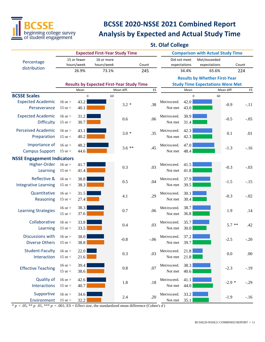

# **BCSSE 2020‐NSSE 2021 Combined Report Analysis by Expected and Actual Study Time**

#### **St. Olaf College**

|                                               |                              |                           | <b>Expected First-Year Study Time</b>            |            |        |                        |                              | <b>Comparison with Actual Study Time</b> |            |         |
|-----------------------------------------------|------------------------------|---------------------------|--------------------------------------------------|------------|--------|------------------------|------------------------------|------------------------------------------|------------|---------|
| Percentage                                    |                              | 15 or fewer<br>hours/week | 16 or more<br>hours/week                         |            | Count  |                        | Did not meet<br>expectations | Met/exceeded                             |            | Count   |
| distribution                                  |                              | 26.9%                     | 73.1%                                            |            | 245    |                        | 34.4%                        | expectations<br>65.6%                    |            | 224     |
|                                               |                              |                           |                                                  |            |        |                        |                              | <b>Results by Whether First-Year</b>     |            |         |
|                                               |                              |                           | <b>Results by Expected First-Year Study Time</b> |            |        |                        |                              | <b>Study Time Expectations Were Met</b>  |            |         |
|                                               |                              | Mean                      |                                                  | Mean diff. | ES     |                        | Mean                         |                                          | Mean diff. | ES      |
| <b>BCSSE Scales</b>                           |                              | $\boldsymbol{0}$          | 60                                               |            |        |                        | $\mathbf{0}$                 | 60                                       |            |         |
| <b>Expected Academic</b><br>Perseverance      | $16$ or $>$<br>15 or $<$     | 43.2<br>40.1              |                                                  | $3.2 *$    | .38    | Met/exceed.<br>Not met | 42.0<br>43.0                 |                                          | $-0.9$     | $-.11$  |
| <b>Expected Academic</b><br><b>Difficulty</b> | $16$ or $>$<br>15 or $<$     | 31.2<br>30.7              |                                                  | 0.6        | .06    | Met/exceed.<br>Not met | 30.9<br>31.4                 |                                          | $-0.5$     | $-.05$  |
| <b>Perceived Academic</b><br>Preparation      | $16$ or $>$<br>15 or $<$     | 43.1<br>40.2              |                                                  | $3.0*$     | .35    | Met/exceed.<br>Not met | 42.3<br>42.3                 |                                          | 0.1        | .01     |
| Importance of<br><b>Campus Support</b>        | $16$ or $>$<br>15 or $<$     | 48.2<br>44.6              |                                                  | $3.6**$    | .45    | Met/exceed.<br>Not met | 47.0<br>48.4                 |                                          | $-1.3$     | $-.16$  |
| <b>NSSE Engagement Indicators</b>             |                              |                           |                                                  |            |        |                        |                              |                                          |            |         |
| Higher-Order<br>Learning                      | $16$ or $>$<br>15 or $<$     | 41.7<br>41.4              |                                                  | 0.3        | .03    | Met/exceed.<br>Not met | 41.5<br>41.8                 |                                          | $-0.3$     | $-.03$  |
| Reflective &<br><b>Integrative Learning</b>   | $16$ or $>$<br>$15$ or $<$   | 38.8<br>38.3              |                                                  | 0.5        | .04    | Met/exceed.<br>Not met | 37.9<br>39.5                 |                                          | $-1.5$     | $-.15$  |
| Quantitative<br>Reasoning                     | $16$ or $>$<br>15 or $<$     | 31.5<br>27.4              |                                                  | 4.1        | .29    | Met/exceed.<br>Not met | 30.1<br>30.4                 |                                          | $-0.3$     | $-.02$  |
| <b>Learning Strategies</b>                    | $16$ or $>$<br>15 or $<$     | 38.3<br>37.6              |                                                  | 0.7        | .06    | Met/exceed.<br>Not met | 38.7<br>36.8                 |                                          | 1.9        | .14     |
| Collaborative<br>Learning                     | $16$ or $>$<br>15 or $<$     | 33.8<br>33.5              |                                                  | 0.4        | .03    | Met/exceed.<br>Not met | 35.7<br>30.0                 |                                          | $5.7$ **   | .42     |
| Discussions with<br>Diverse Others 15 or <    | $16$ or $>$                  | 38.0<br>38.8              |                                                  | $-0.8$     | $-.06$ | Met/exceed.<br>Not met | 37.2<br>39.7                 |                                          | $-2.5$     | $-.20$  |
| Student-Faculty<br>Interaction                | $16$ or $>$<br>$15$ or $<\,$ | 22.0<br>21.6              |                                                  | 0.3        | .03    | Met/exceed.<br>Not met | 21.8<br>21.8                 |                                          | $0.0\,$    | $.00\,$ |
| <b>Effective Teaching</b>                     | $16$ or $>$<br>$15$ or $<\,$ | 39.4<br>38.6              |                                                  | 0.8        | .07    | Met/exceed.<br>Not met | 38.3<br>40.6                 |                                          | $-2.3$     | $-.19$  |
| Quality of<br>Interactions                    | $16$ or $>$<br>15 or $<$     | 42.6<br>40.7              |                                                  | 1.8        | .18    | Met/exceed.<br>Not met | 41.1<br>44.0                 |                                          | $-2.9*$    | $-.29$  |
| Supportive<br>Environment                     | $16$ or $>$<br>$15$ or $<\,$ | 34.6<br>32.2              |                                                  | 2.4        | .20    | Met/exceed.<br>Not met | 33.2<br>35.1                 |                                          | $-1.9$     | $-.16$  |

 $* p < .05, ** p .01, *** p < .001; ES = Effect size, the standardized mean difference (Cohen's d)$